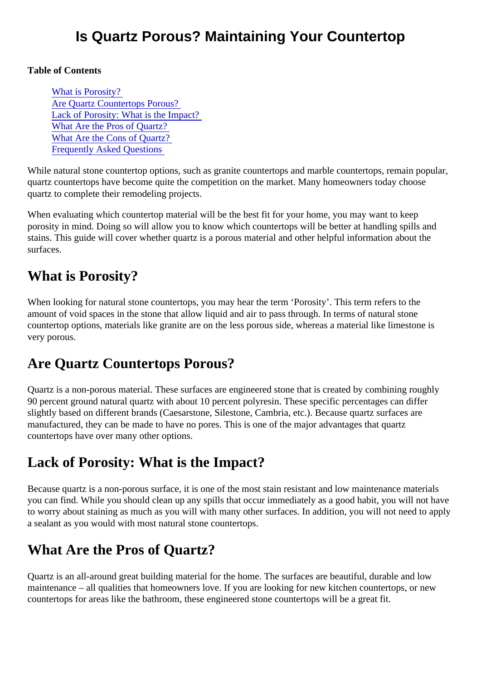Table of Contents

What is Porosity? Are Quartz Countertops Porous? Lack of Porosity: What is the Impact? What Are the Pros of Quartz? [What Are the Cons of Quartz](#page-1-0)? [Frequently Asked Question](#page-1-0)s

While natural stone countertop options, such as granite countertops and marble countertops, remain popular, quartz countertops have become quite the competition on the market. Many homeowners today choose quartz to complete their remodeling projects.

When evaluating which countertop material will be the best fit for your home, you may want to keep porosity in mind. Doing so will allow you to know which countertops will be better at handling spills and stains. This guide will cover whether quartz is a porous material and other helpful information about the surfaces.

# What is Porosity?

When looking for natural stone countertops, you may hear the term 'Porosity'. This term refers to the amount of void spaces in the stone that allow liquid and air to pass through. In terms of natural stone countertop options, materials like granite are on the less porous side, whereas a material like limestone is very porous.

# Are Quartz Countertops Porous?

Quartz is a non-porous material. These surfaces are engineered stone that is created by combining rough 90 percent ground natural quartz with about 10 percent polyresin. These specific percentages can differ slightly based on different brands (Caesarstone, Silestone, Cambria, etc.). Because quartz surfaces are manufactured, they can be made to have no pores. This is one of the major advantages that quartz countertops have over many other options.

# Lack of Porosity: What is the Impact?

Because quartz is a non-porous surface, it is one of the most stain resistant and low maintenance materia you can find. While you should clean up any spills that occur immediately as a good habit, you will not have to worry about staining as much as you will with many other surfaces. In addition, you will not need to app a sealant as you would with most natural stone countertops.

# What Are the Pros of Quartz?

Quartz is an all-around great building material for the home. The surfaces are beautiful, durable and low maintenance – all qualities that homeowners love. If you are looking for new kitchen countertops, or new countertops for areas like the bathroom, these engineered stone countertops will be a great fit.